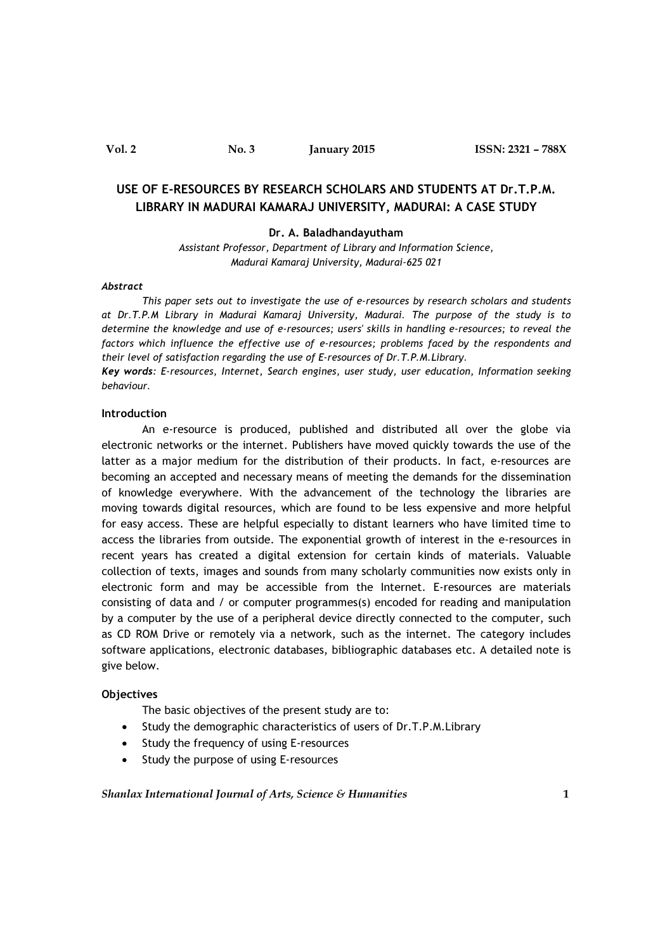# USE OF E-RESOURCES BY RESEARCH SCHOLARS AND STUDENTS AT Dr.T.P.M. LIBRARY IN MADURAI KAMARAJ UNIVERSITY, MADURAI: A CASE STUDY

#### Dr. A. Baladhandayutham

Assistant Professor, Department of Library and Information Science, Madurai Kamaraj University, Madurai-625 021

### Abstract

This paper sets out to investigate the use of e-resources by research scholars and students at Dr.T.P.M Library in Madurai Kamaraj University, Madurai. The purpose of the study is to determine the knowledge and use of e-resources; users' skills in handling e-resources; to reveal the factors which influence the effective use of e-resources; problems faced by the respondents and their level of satisfaction regarding the use of E-resources of Dr.T.P.M.Library.

Key words: E-resources, Internet, Search engines, user study, user education, Information seeking behaviour.

# Introduction

An e-resource is produced, published and distributed all over the globe via electronic networks or the internet. Publishers have moved quickly towards the use of the latter as a major medium for the distribution of their products. In fact, e-resources are becoming an accepted and necessary means of meeting the demands for the dissemination of knowledge everywhere. With the advancement of the technology the libraries are moving towards digital resources, which are found to be less expensive and more helpful for easy access. These are helpful especially to distant learners who have limited time to access the libraries from outside. The exponential growth of interest in the e-resources in recent years has created a digital extension for certain kinds of materials. Valuable collection of texts, images and sounds from many scholarly communities now exists only in electronic form and may be accessible from the Internet. E-resources are materials consisting of data and / or computer programmes(s) encoded for reading and manipulation by a computer by the use of a peripheral device directly connected to the computer, such as CD ROM Drive or remotely via a network, such as the internet. The category includes software applications, electronic databases, bibliographic databases etc. A detailed note is give below.

#### **Objectives**

The basic objectives of the present study are to:

- Study the demographic characteristics of users of Dr.T.P.M.Library
- Study the frequency of using E-resources
- Study the purpose of using E-resources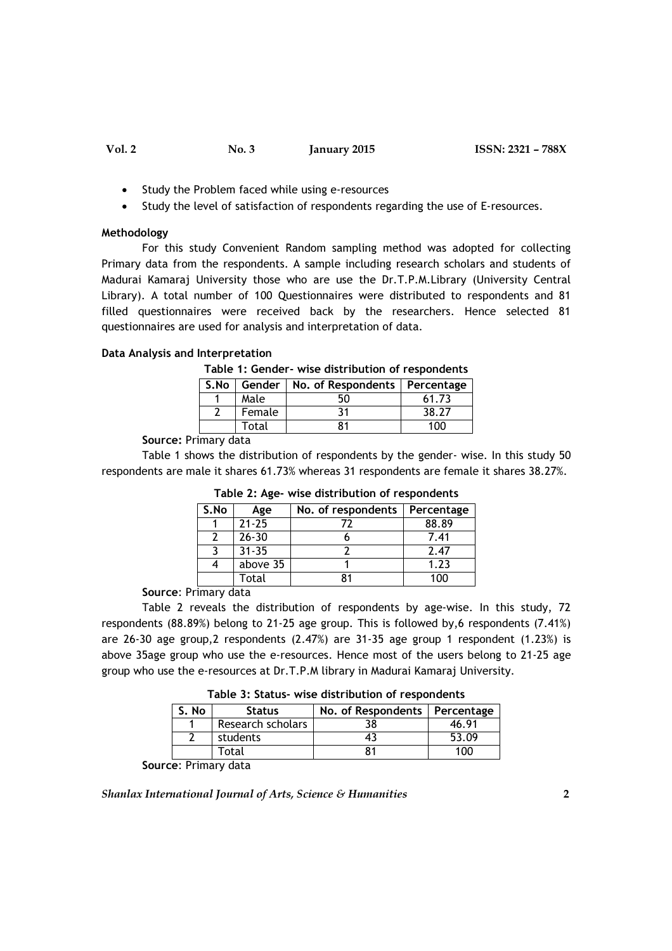- Study the Problem faced while using e-resources
- Study the level of satisfaction of respondents regarding the use of E-resources.

### Methodology

For this study Convenient Random sampling method was adopted for collecting Primary data from the respondents. A sample including research scholars and students of Madurai Kamaraj University those who are use the Dr.T.P.M.Library (University Central Library). A total number of 100 Questionnaires were distributed to respondents and 81 filled questionnaires were received back by the researchers. Hence selected 81 questionnaires are used for analysis and interpretation of data.

### Data Analysis and Interpretation

|  |  |  |  |  |  | Table 1: Gender- wise distribution of respondents |
|--|--|--|--|--|--|---------------------------------------------------|
|--|--|--|--|--|--|---------------------------------------------------|

|        | S.No   Gender   No. of Respondents   Percentage |       |
|--------|-------------------------------------------------|-------|
| Male   | 50                                              | 61.73 |
| Female | ٦1                                              | 38.27 |
| Total  |                                                 | 100   |

## Source: Primary data

Table 1 shows the distribution of respondents by the gender- wise. In this study 50 respondents are male it shares 61.73% whereas 31 respondents are female it shares 38.27%.

|      | $.82.012 - 2.002$ |                    |            |  |
|------|-------------------|--------------------|------------|--|
| S.No | Age               | No. of respondents | Percentage |  |
|      | $21 - 25$         |                    | 88.89      |  |
|      | $26 - 30$         |                    | 7.41       |  |
|      | $31 - 35$         |                    | 2.47       |  |
|      | above 35          |                    | 1.23       |  |
|      | Total             |                    | n          |  |

Table 2: Age- wise distribution of respondents

# Source: Primary data

Table 2 reveals the distribution of respondents by age-wise. In this study, 72 respondents (88.89%) belong to 21-25 age group. This is followed by,6 respondents (7.41%) are 26-30 age group, 2 respondents  $(2.47%)$  are  $31-35$  age group 1 respondent  $(1.23%)$  is above 35age group who use the e-resources. Hence most of the users belong to 21-25 age group who use the e-resources at Dr.T.P.M library in Madurai Kamaraj University.

| S. No | <b>Status</b>     | No. of Respondents   Percentage |       |
|-------|-------------------|---------------------------------|-------|
|       | Research scholars |                                 | 46.91 |
|       | students          |                                 | 53.09 |
|       | Total             |                                 | חחו   |

Source: Primary data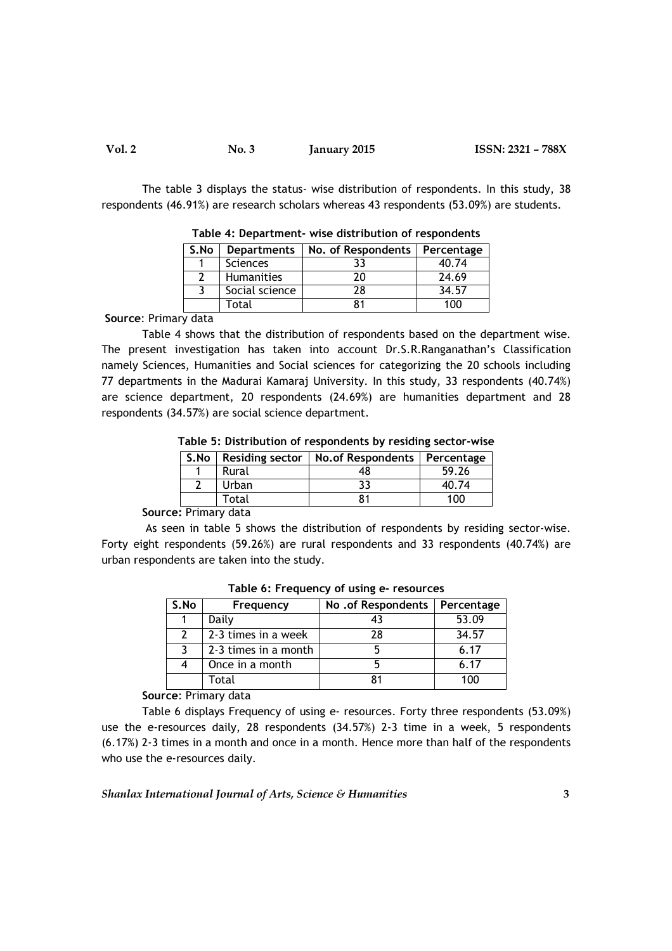| Vol. 2 | No. 3 | <b>January 2015</b> | ISSN: 2321 - 788X |
|--------|-------|---------------------|-------------------|
|--------|-------|---------------------|-------------------|

The table 3 displays the status- wise distribution of respondents. In this study, 38 respondents (46.91%) are research scholars whereas 43 respondents (53.09%) are students.

| S.No | Departments       | No. of Respondents   Percentage |       |  |
|------|-------------------|---------------------------------|-------|--|
|      | <b>Sciences</b>   |                                 | 40.74 |  |
|      | <b>Humanities</b> | 20                              | 24.69 |  |
|      | Social science    | 28                              | 34.57 |  |
|      | Total             |                                 | 100   |  |

Table 4: Department- wise distribution of respondents

Source: Primary data

Table 4 shows that the distribution of respondents based on the department wise. The present investigation has taken into account Dr.S.R.Ranganathan's Classification namely Sciences, Humanities and Social sciences for categorizing the 20 schools including 77 departments in the Madurai Kamaraj University. In this study, 33 respondents (40.74%) are science department, 20 respondents (24.69%) are humanities department and 28 respondents (34.57%) are social science department.

Table 5: Distribution of respondents by residing sector-wise

| S.No | <b>Residing sector</b> | No. of Respondents   Percentage |       |
|------|------------------------|---------------------------------|-------|
|      | Rural                  | 48                              | 59.26 |
|      | Urban                  | 33                              | 40.74 |
|      | Total                  | 81                              | 100   |
| - -  |                        |                                 |       |

Source: Primary data

 As seen in table 5 shows the distribution of respondents by residing sector-wise. Forty eight respondents (59.26%) are rural respondents and 33 respondents (40.74%) are urban respondents are taken into the study.

| S.No | Frequency            | No .of Respondents | Percentage |  |  |
|------|----------------------|--------------------|------------|--|--|
|      | Daily                | 43                 | 53.09      |  |  |
| 2    | 2-3 times in a week  | 28                 | 34.57      |  |  |
| ર    | 2-3 times in a month |                    | 6.17       |  |  |
| 4    | Once in a month      |                    | 6.17       |  |  |
|      | Total                |                    | 100        |  |  |

Table 6: Frequency of using e- resources

Source: Primary data

Table 6 displays Frequency of using e- resources. Forty three respondents (53.09%) use the e-resources daily, 28 respondents (34.57%) 2-3 time in a week, 5 respondents (6.17%) 2-3 times in a month and once in a month. Hence more than half of the respondents who use the e-resources daily.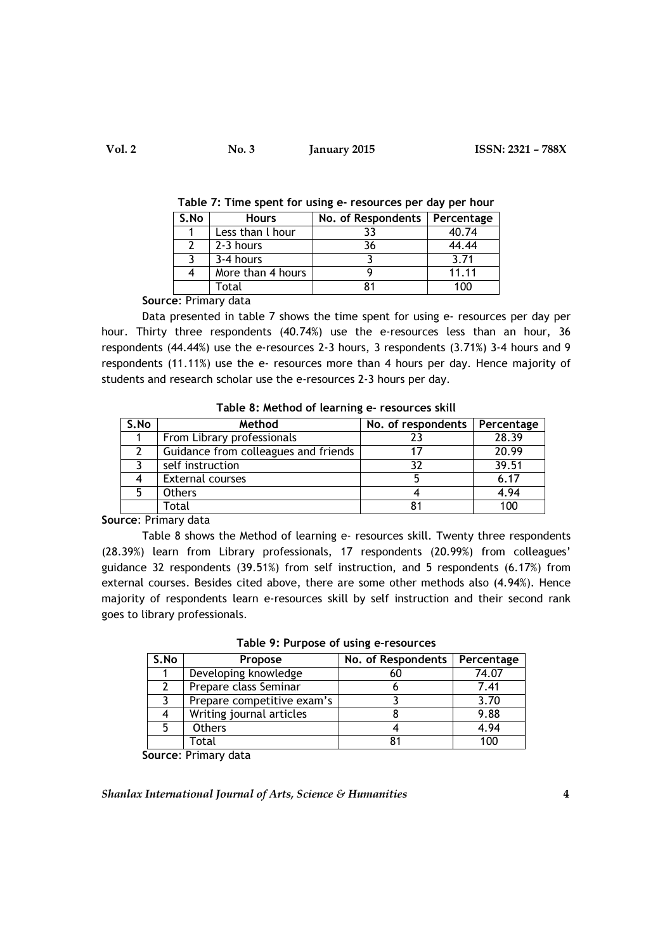| S.No | <b>Hours</b>      | No. of Respondents | Percentage |
|------|-------------------|--------------------|------------|
|      | Less than I hour  | 33                 | 40.74      |
|      | 2-3 hours         | 36                 | 44.44      |
|      | 3-4 hours         |                    | 3.71       |
|      | More than 4 hours |                    | 11.11      |
|      | Total             | 81                 | 100        |

Table 7: Time spent for using e- resources per day per hour

Source: Primary data

Data presented in table 7 shows the time spent for using e- resources per day per hour. Thirty three respondents (40.74%) use the e-resources less than an hour, 36 respondents (44.44%) use the e-resources 2-3 hours, 3 respondents (3.71%) 3-4 hours and 9 respondents (11.11%) use the e- resources more than 4 hours per day. Hence majority of students and research scholar use the e-resources 2-3 hours per day.

| $1400C$ of meenod of tearning c $1600d$ , case since |                                      |                    |            |  |
|------------------------------------------------------|--------------------------------------|--------------------|------------|--|
| S.No                                                 | Method                               | No. of respondents | Percentage |  |
|                                                      | From Library professionals           | 23                 | 28.39      |  |
|                                                      | Guidance from colleagues and friends |                    | 20.99      |  |
|                                                      | self instruction                     | 32                 | 39.51      |  |
|                                                      | <b>External courses</b>              |                    | 6.17       |  |
| 5                                                    | <b>Others</b>                        |                    | 4.94       |  |
|                                                      | Total                                |                    | 100        |  |

Table 8: Method of learning e- resources skill

Source: Primary data

Table 8 shows the Method of learning e- resources skill. Twenty three respondents (28.39%) learn from Library professionals, 17 respondents (20.99%) from colleagues' guidance 32 respondents (39.51%) from self instruction, and 5 respondents (6.17%) from external courses. Besides cited above, there are some other methods also (4.94%). Hence majority of respondents learn e-resources skill by self instruction and their second rank goes to library professionals.

| S.No | <b>Propose</b>             | No. of Respondents | Percentage |
|------|----------------------------|--------------------|------------|
|      | Developing knowledge       |                    | 74.07      |
|      | Prepare class Seminar      |                    | 7.41       |
|      | Prepare competitive exam's |                    | 3.70       |
| 4    | Writing journal articles   |                    | 9.88       |
|      | <b>Others</b>              |                    | 4.94       |

Total 81 100

Table 9: Purpose of using e-resources

Source: Primary data

Shanlax International Journal of Arts, Science & Humanities  $4\overline{4}$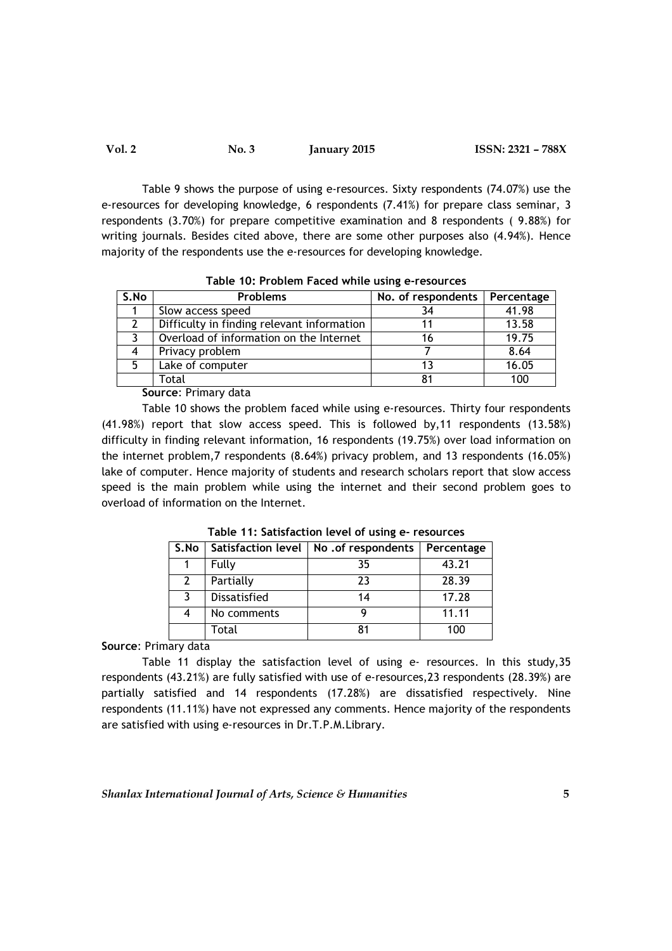| Vol. 2 | No. 3 | <b>January 2015</b> | ISSN: 2321 - 788X |
|--------|-------|---------------------|-------------------|
|--------|-------|---------------------|-------------------|

Table 9 shows the purpose of using e-resources. Sixty respondents (74.07%) use the e-resources for developing knowledge, 6 respondents (7.41%) for prepare class seminar, 3 respondents (3.70%) for prepare competitive examination and 8 respondents ( 9.88%) for writing journals. Besides cited above, there are some other purposes also (4.94%). Hence majority of the respondents use the e-resources for developing knowledge.

| S.No | <b>Problems</b>                            | No. of respondents | <b>Percentage</b> |
|------|--------------------------------------------|--------------------|-------------------|
|      | Slow access speed                          |                    | 41.98             |
|      | Difficulty in finding relevant information |                    | 13.58             |
|      | Overload of information on the Internet    | 16                 | 19.75             |
| 4    | Privacy problem                            |                    | 8.64              |
| 5    | Lake of computer                           |                    | 16.05             |
|      | Total                                      | 81                 | 100               |

Table 10: Problem Faced while using e-resources

Source: Primary data

Table 10 shows the problem faced while using e-resources. Thirty four respondents (41.98%) report that slow access speed. This is followed by,11 respondents (13.58%) difficulty in finding relevant information, 16 respondents (19.75%) over load information on the internet problem,7 respondents (8.64%) privacy problem, and 13 respondents (16.05%) lake of computer. Hence majority of students and research scholars report that slow access speed is the main problem while using the internet and their second problem goes to overload of information on the Internet.

| S.No          |              | Satisfaction level   No. of respondents | Percentage |
|---------------|--------------|-----------------------------------------|------------|
|               | Fully        | 35                                      | 43.21      |
| $\mathcal{L}$ | Partially    | 23                                      | 28.39      |
| 3             | Dissatisfied | 14                                      | 17.28      |
| 4             | No comments  |                                         | 11.11      |
|               | Total        | 81                                      | 100        |

Table 11: Satisfaction level of using e- resources

Source: Primary data

Table 11 display the satisfaction level of using e- resources. In this study,35 respondents (43.21%) are fully satisfied with use of e-resources,23 respondents (28.39%) are partially satisfied and 14 respondents (17.28%) are dissatisfied respectively. Nine respondents (11.11%) have not expressed any comments. Hence majority of the respondents are satisfied with using e-resources in Dr.T.P.M.Library.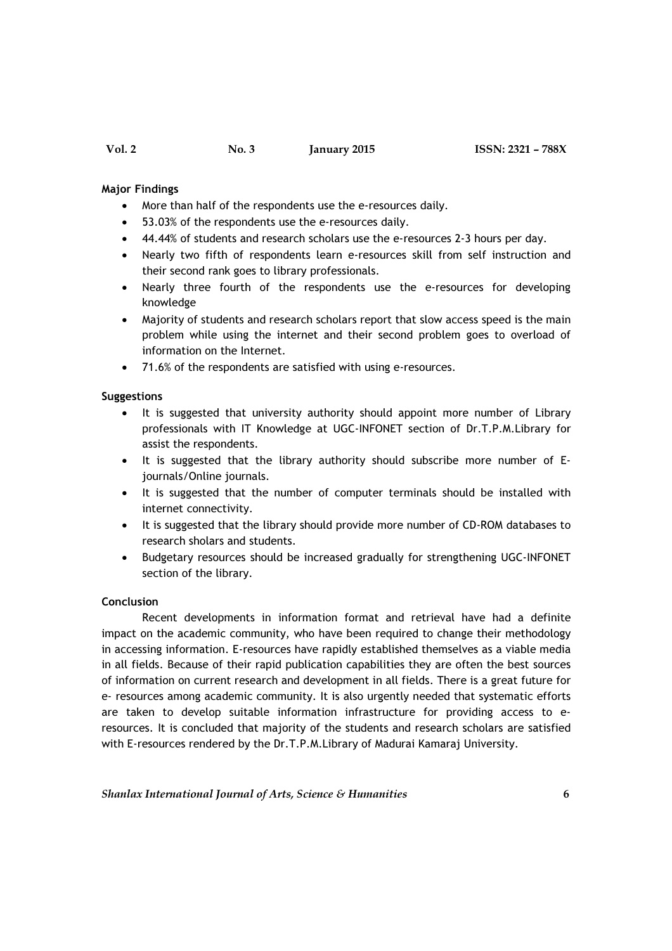### Major Findings

- More than half of the respondents use the e-resources daily.
- 53.03% of the respondents use the e-resources daily.
- 44.44% of students and research scholars use the e-resources 2-3 hours per day.
- Nearly two fifth of respondents learn e-resources skill from self instruction and their second rank goes to library professionals.
- Nearly three fourth of the respondents use the e-resources for developing knowledge
- Majority of students and research scholars report that slow access speed is the main problem while using the internet and their second problem goes to overload of information on the Internet.
- 71.6% of the respondents are satisfied with using e-resources.

#### Suggestions

- It is suggested that university authority should appoint more number of Library professionals with IT Knowledge at UGC-INFONET section of Dr.T.P.M.Library for assist the respondents.
- It is suggested that the library authority should subscribe more number of Ejournals/Online journals.
- It is suggested that the number of computer terminals should be installed with internet connectivity.
- It is suggested that the library should provide more number of CD-ROM databases to research sholars and students.
- Budgetary resources should be increased gradually for strengthening UGC-INFONET section of the library.

#### Conclusion

Recent developments in information format and retrieval have had a definite impact on the academic community, who have been required to change their methodology in accessing information. E-resources have rapidly established themselves as a viable media in all fields. Because of their rapid publication capabilities they are often the best sources of information on current research and development in all fields. There is a great future for e- resources among academic community. It is also urgently needed that systematic efforts are taken to develop suitable information infrastructure for providing access to eresources. It is concluded that majority of the students and research scholars are satisfied with E-resources rendered by the Dr.T.P.M.Library of Madurai Kamaraj University.